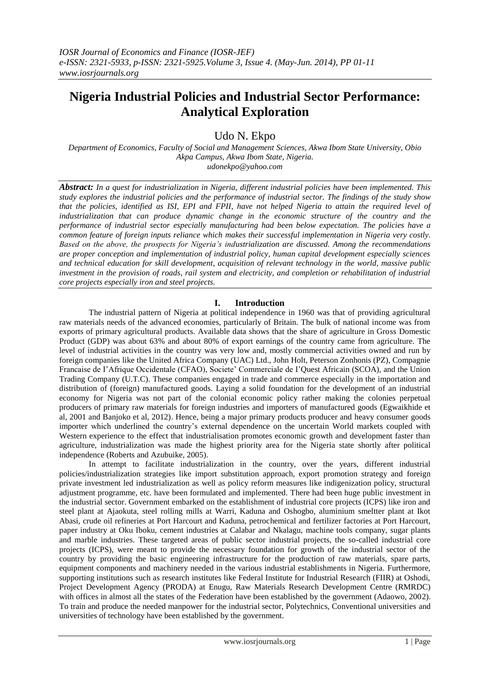# **Nigeria Industrial Policies and Industrial Sector Performance: Analytical Exploration**

Udo N. Ekpo

*Department of Economics, Faculty of Social and Management Sciences, Akwa Ibom State University, Obio Akpa Campus, Akwa Ibom State, Nigeria. udonekpo@yahoo.com*

*Abstract: In a quest for industrialization in Nigeria, different industrial policies have been implemented. This study explores the industrial policies and the performance of industrial sector. The findings of the study show that the policies, identified as ISI, EPI and FPII, have not helped Nigeria to attain the required level of industrialization that can produce dynamic change in the economic structure of the country and the performance of industrial sector especially manufacturing had been below expectation. The policies have a common feature of foreign inputs reliance which makes their successful implementation in Nigeria very costly. Based on the above, the prospects for Nigeria's industrialization are discussed. Among the recommendations are proper conception and implementation of industrial policy, human capital development especially sciences and technical education for skill development, acquisition of relevant technology in the world, massive public investment in the provision of roads, rail system and electricity, and completion or rehabilitation of industrial core projects especially iron and steel projects.*

## **I. Introduction**

The industrial pattern of Nigeria at political independence in 1960 was that of providing agricultural raw materials needs of the advanced economies, particularly of Britain. The bulk of national income was from exports of primary agricultural products. Available data shows that the share of agriculture in Gross Domestic Product (GDP) was about 63% and about 80% of export earnings of the country came from agriculture. The level of industrial activities in the country was very low and, mostly commercial activities owned and run by foreign companies like the United Africa Company (UAC) Ltd., John Holt, Peterson Zonhonis (PZ), Compagnie Francaise de I'Afrique Occidentale (CFAO), Societe' Commerciale de I'Quest Africain (SCOA), and the Union Trading Company (U.T.C). These companies engaged in trade and commerce especially in the importation and distribution of (foreign) manufactured goods. Laying a solid foundation for the development of an industrial economy for Nigeria was not part of the colonial economic policy rather making the colonies perpetual producers of primary raw materials for foreign industries and importers of manufactured goods (Egwaikhide et al, 2001 and Banjoko et al, 2012). Hence, being a major primary products producer and heavy consumer goods importer which underlined the country"s external dependence on the uncertain World markets coupled with Western experience to the effect that industrialisation promotes economic growth and development faster than agriculture, industrialization was made the highest priority area for the Nigeria state shortly after political independence (Roberts and Azubuike, 2005).

In attempt to facilitate industrialization in the country, over the years, different industrial policies/industrialization strategies like import substitution approach, export promotion strategy and foreign private investment led industrialization as well as policy reform measures like indigenization policy, structural adjustment programme, etc. have been formulated and implemented. There had been huge public investment in the industrial sector. Government embarked on the establishment of industrial core projects (ICPS) like iron and steel plant at Ajaokuta, steel rolling mills at Warri, Kaduna and Oshogbo, aluminium smeltter plant at Ikot Abasi, crude oil refineries at Port Harcourt and Kaduna, petrochemical and fertilizer factories at Port Harcourt, paper industry at Oku Iboku, cement industries at Calabar and Nkalagu, machine tools company, sugar plants and marble industries. These targeted areas of public sector industrial projects, the so-called industrial core projects (ICPS), were meant to provide the necessary foundation for growth of the industrial sector of the country by providing the basic engineering infrastructure for the production of raw materials, spare parts, equipment components and machinery needed in the various industrial establishments in Nigeria. Furthermore, supporting institutions such as research institutes like Federal Institute for Industrial Research (FIIR) at Oshodi, Project Development Agency (PRODA) at Enugu, Raw Materials Research Development Centre (RMRDC) with offices in almost all the states of the Federation have been established by the government (Adaowo, 2002). To train and produce the needed manpower for the industrial sector, Polytechnics, Conventional universities and universities of technology have been established by the government.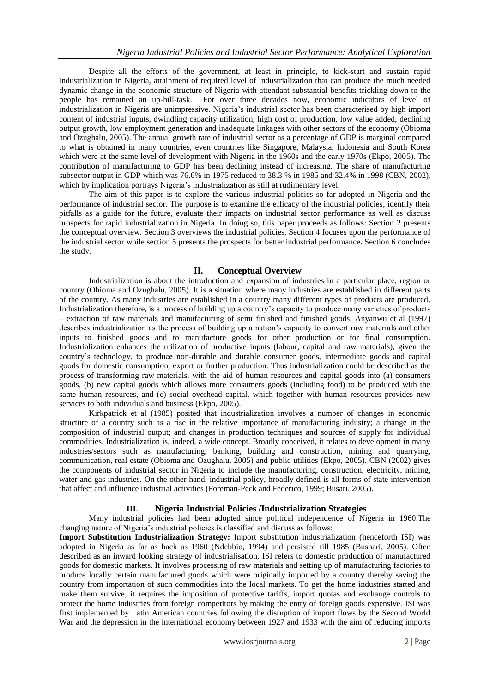Despite all the efforts of the government, at least in principle, to kick-start and sustain rapid industrialization in Nigeria, attainment of required level of industrialization that can produce the much needed dynamic change in the economic structure of Nigeria with attendant substantial benefits trickling down to the people has remained an up-hill-task. For over three decades now, economic indicators of level of industrialization in Nigeria are unimpressive. Nigeria"s industrial sector has been characterised by high import content of industrial inputs, dwindling capacity utilization, high cost of production, low value added, declining output growth, low employment generation and inadequate linkages with other sectors of the economy (Obioma and Ozughalu, 2005). The annual growth rate of industrial sector as a percentage of GDP is marginal compared to what is obtained in many countries, even countries like Singapore, Malaysia, Indonesia and South Korea which were at the same level of development with Nigeria in the 1960s and the early 1970s (Ekpo, 2005). The contribution of manufacturing to GDP has been declining instead of increasing. The share of manufacturing subsector output in GDP which was 76.6% in 1975 reduced to 38.3 % in 1985 and 32.4% in 1998 (CBN, 2002), which by implication portrays Nigeria's industrialization as still at rudimentary level.

The aim of this paper is to explore the various industrial policies so far adopted in Nigeria and the performance of industrial sector. The purpose is to examine the efficacy of the industrial policies, identify their pitfalls as a guide for the future, evaluate their impacts on industrial sector performance as well as discuss prospects for rapid industrialization in Nigeria. In doing so, this paper proceeds as follows: Section 2 presents the conceptual overview. Section 3 overviews the industrial policies. Section 4 focuses upon the performance of the industrial sector while section 5 presents the prospects for better industrial performance. Section 6 concludes the study.

## **II. Conceptual Overview**

Industrialization is about the introduction and expansion of industries in a particular place, region or country (Obioma and Ozughalu, 2005). It is a situation where many industries are established in different parts of the country. As many industries are established in a country many different types of products are produced. Industrialization therefore, is a process of building up a country"s capacity to produce many varieties of products – extraction of raw materials and manufacturing of semi finished and finished goods. Anyanwu et al (1997) describes industrialization as the process of building up a nation"s capacity to convert raw materials and other inputs to finished goods and to manufacture goods for other production or for final consumption. Industrialization enhances the utilization of productive inputs (labour, capital and raw materials), given the country"s technology, to produce non-durable and durable consumer goods, intermediate goods and capital goods for domestic consumption, export or further production. Thus industrialization could be described as the process of transforming raw materials, with the aid of human resources and capital goods into (a) consumers goods, (b) new capital goods which allows more consumers goods (including food) to be produced with the same human resources, and (c) social overhead capital, which together with human resources provides new services to both individuals and business (Ekpo, 2005).

Kirkpatrick et al (1985) posited that industrialization involves a number of changes in economic structure of a country such as a rise in the relative importance of manufacturing industry; a change in the composition of industrial output; and changes in production techniques and sources of supply for individual commodities. Industrialization is, indeed, a wide concept. Broadly conceived, it relates to development in many industries/sectors such as manufacturing, banking, building and construction, mining and quarrying, communication, real estate (Obioma and Ozughalu, 2005) and public utilities (Ekpo, 2005). CBN (2002) gives the components of industrial sector in Nigeria to include the manufacturing, construction, electricity, mining, water and gas industries. On the other hand, industrial policy, broadly defined is all forms of state intervention that affect and influence industrial activities (Foreman-Peck and Federico, 1999; Busari, 2005).

## **III. Nigeria Industrial Policies /Industrialization Strategies**

Many industrial policies had been adopted since political independence of Nigeria in 1960.The changing nature of Nigeria"s industrial policies is classified and discuss as follows:

**Import Substitution Industrialization Strategy:** Import substitution industrialization (henceforth ISI) was adopted in Nigeria as far as back as 1960 (Ndebbio, 1994) and persisted till 1985 (Bushari, 2005). Often described as an inward looking strategy of industrialisation, ISI refers to domestic production of manufactured goods for domestic markets. It involves processing of raw materials and setting up of manufacturing factories to produce locally certain manufactured goods which were originally imported by a country thereby saving the country from importation of such commodities into the local markets. To get the home industries started and make them survive, it requires the imposition of protective tariffs, import quotas and exchange controls to protect the home industries from foreign competitors by making the entry of foreign goods expensive. ISI was first implemented by Latin American countries following the disruption of import flows by the Second World War and the depression in the international economy between 1927 and 1933 with the aim of reducing imports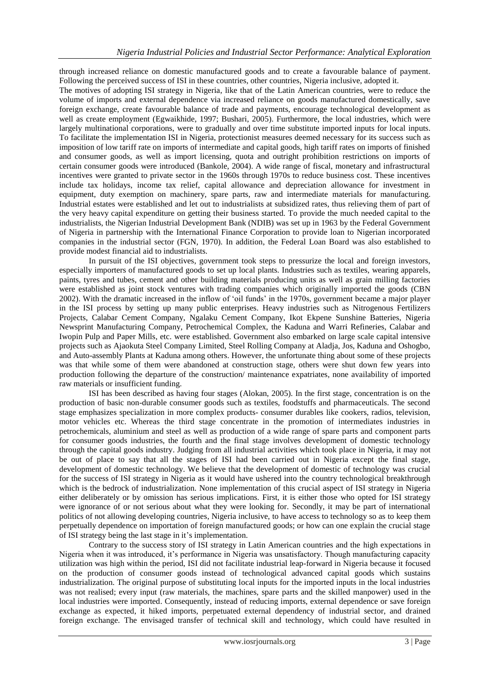through increased reliance on domestic manufactured goods and to create a favourable balance of payment. Following the perceived success of ISI in these countries, other countries, Nigeria inclusive, adopted it.

The motives of adopting ISI strategy in Nigeria, like that of the Latin American countries, were to reduce the volume of imports and external dependence via increased reliance on goods manufactured domestically, save foreign exchange, create favourable balance of trade and payments, encourage technological development as well as create employment (Egwaikhide, 1997; Bushari, 2005). Furthermore, the local industries, which were largely multinational corporations, were to gradually and over time substitute imported inputs for local inputs. To facilitate the implementation ISI in Nigeria, protectionist measures deemed necessary for its success such as imposition of low tariff rate on imports of intermediate and capital goods, high tariff rates on imports of finished and consumer goods, as well as import licensing, quota and outright prohibition restrictions on imports of certain consumer goods were introduced (Bankole, 2004). A wide range of fiscal, monetary and infrastructural incentives were granted to private sector in the 1960s through 1970s to reduce business cost. These incentives include tax holidays, income tax relief, capital allowance and depreciation allowance for investment in equipment, duty exemption on machinery, spare parts, raw and intermediate materials for manufacturing. Industrial estates were established and let out to industrialists at subsidized rates, thus relieving them of part of the very heavy capital expenditure on getting their business started. To provide the much needed capital to the industrialists, the Nigerian Industrial Development Bank (NDIB) was set up in 1963 by the Federal Government of Nigeria in partnership with the International Finance Corporation to provide loan to Nigerian incorporated companies in the industrial sector (FGN, 1970). In addition, the Federal Loan Board was also established to provide modest financial aid to industrialists.

In pursuit of the ISI objectives, government took steps to pressurize the local and foreign investors, especially importers of manufactured goods to set up local plants. Industries such as textiles, wearing apparels, paints, tyres and tubes, cement and other building materials producing units as well as grain milling factories were established as joint stock ventures with trading companies which originally imported the goods (CBN 2002). With the dramatic increased in the inflow of "oil funds" in the 1970s, government became a major player in the ISI process by setting up many public enterprises. Heavy industries such as Nitrogenous Fertilizers Projects, Calabar Cement Company, Ngalaku Cement Company, Ikot Ekpene Sunshine Batteries, Nigeria Newsprint Manufacturing Company, Petrochemical Complex, the Kaduna and Warri Refineries, Calabar and Iwopin Pulp and Paper Mills, etc. were established. Government also embarked on large scale capital intensive projects such as Ajaokuta Steel Company Limited, Steel Rolling Company at Aladja, Jos, Kaduna and Oshogbo, and Auto-assembly Plants at Kaduna among others. However, the unfortunate thing about some of these projects was that while some of them were abandoned at construction stage, others were shut down few years into production following the departure of the construction/ maintenance expatriates, none availability of imported raw materials or insufficient funding.

ISI has been described as having four stages (Alokan, 2005). In the first stage, concentration is on the production of basic non-durable consumer goods such as textiles, foodstuffs and pharmaceuticals. The second stage emphasizes specialization in more complex products- consumer durables like cookers, radios, television, motor vehicles etc. Whereas the third stage concentrate in the promotion of intermediates industries in petrochemicals, aluminium and steel as well as production of a wide range of spare parts and component parts for consumer goods industries, the fourth and the final stage involves development of domestic technology through the capital goods industry. Judging from all industrial activities which took place in Nigeria, it may not be out of place to say that all the stages of ISI had been carried out in Nigeria except the final stage, development of domestic technology. We believe that the development of domestic of technology was crucial for the success of ISI strategy in Nigeria as it would have ushered into the country technological breakthrough which is the bedrock of industrialization. None implementation of this crucial aspect of ISI strategy in Nigeria either deliberately or by omission has serious implications. First, it is either those who opted for ISI strategy were ignorance of or not serious about what they were looking for. Secondly, it may be part of international politics of not allowing developing countries, Nigeria inclusive, to have access to technology so as to keep them perpetually dependence on importation of foreign manufactured goods; or how can one explain the crucial stage of ISI strategy being the last stage in it"s implementation.

Contrary to the success story of ISI strategy in Latin American countries and the high expectations in Nigeria when it was introduced, it"s performance in Nigeria was unsatisfactory. Though manufacturing capacity utilization was high within the period, ISI did not facilitate industrial leap-forward in Nigeria because it focused on the production of consumer goods instead of technological advanced capital goods which sustains industrialization. The original purpose of substituting local inputs for the imported inputs in the local industries was not realised; every input (raw materials, the machines, spare parts and the skilled manpower) used in the local industries were imported. Consequently, instead of reducing imports, external dependence or save foreign exchange as expected, it hiked imports, perpetuated external dependency of industrial sector, and drained foreign exchange. The envisaged transfer of technical skill and technology, which could have resulted in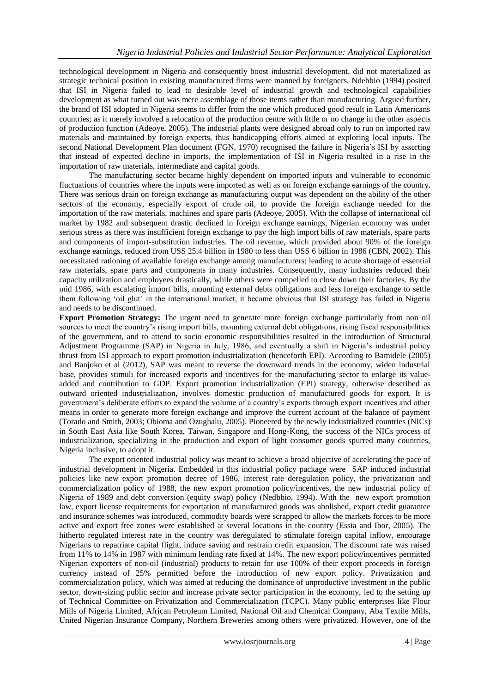technological development in Nigeria and consequently boost industrial development, did not materialized as strategic technical position in existing manufactured firms were manned by foreigners. Ndebbio (1994) posited that ISI in Nigeria failed to lead to desirable level of industrial growth and technological capabilities development as what turned out was mere assemblage of those items rather than manufacturing. Argued further, the brand of ISI adopted in Nigeria seems to differ from the one which produced good result in Latin Americans countries; as it merely involved a relocation of the production centre with little or no change in the other aspects of production function (Adeoye, 2005). The industrial plants were designed abroad only to run on imported raw materials and maintained by foreign experts, thus handicapping efforts aimed at exploring local inputs. The second National Development Plan document (FGN, 1970) recognised the failure in Nigeria's ISI by asserting that instead of expected decline in imports, the implementation of ISI in Nigeria resulted in a rise in the importation of raw materials, intermediate and capital goods.

The manufacturing sector became highly dependent on imported inputs and vulnerable to economic fluctuations of countries where the inputs were imported as well as on foreign exchange earnings of the country. There was serious drain on foreign exchange as manufacturing output was dependent on the ability of the other sectors of the economy, especially export of crude oil, to provide the foreign exchange needed for the importation of the raw materials, machines and spare parts (Adeoye, 2005). With the collapse of international oil market by 1982 and subsequent drastic declined in foreign exchange earnings, Nigerian economy was under serious stress as there was insufficient foreign exchange to pay the high import bills of raw materials, spare parts and components of import-substitution industries. The oil revenue, which provided about 90% of the foreign exchange earnings, reduced from USS 25.4 billion in 1980 to less than USS 6 billion in 1986 (CBN, 2002). This necessitated rationing of available foreign exchange among manufacturers; leading to acute shortage of essential raw materials, spare parts and components in many industries. Consequently, many industries reduced their capacity utilization and employees drastically, while others were compelled to close down their factories. By the mid 1986, with escalating import bills, mounting external debts obligations and less foreign exchange to settle them following "oil glut" in the international market, it became obvious that ISI strategy has failed in Nigeria and needs to be discontinued.

**Export Promotion Strategy:** The urgent need to generate more foreign exchange particularly from non oil sources to meet the country"s rising import bills, mounting external debt obligations, rising fiscal responsibilities of the government, and to attend to socio economic responsibilities resulted in the introduction of Structural Adjustment Programme (SAP) in Nigeria in July, 1986, and eventually a shift in Nigeria"s industrial policy thrust from ISI approach to export promotion industrialization (henceforth EPI). According to Bamidele (2005) and Banjoko et al (2012), SAP was meant to reverse the downward trends in the economy, widen industrial base, provides stimuli for increased exports and incentives for the manufacturing sector to enlarge its valueadded and contribution to GDP. Export promotion industrialization (EPI) strategy, otherwise described as outward oriented industrialization, involves domestic production of manufactured goods for export. It is government's deliberate efforts to expand the volume of a country's exports through export incentives and other means in order to generate more foreign exchange and improve the current account of the balance of payment (Torado and Smith, 2003; Obioma and Ozughalu, 2005). Pioneered by the newly industrialized countries (NICs) in South East Asia like South Korea, Taiwan, Singapore and Hong-Kong, the success of the NICs process of industrialization, specializing in the production and export of light consumer goods spurred many countries, Nigeria inclusive, to adopt it.

The export oriented industrial policy was meant to achieve a broad objective of accelerating the pace of industrial development in Nigeria. Embedded in this industrial policy package were SAP induced industrial policies like new export promotion decree of 1986, interest rate deregulation policy, the privatization and commercialization policy of 1988, the new export promotion policy/incentives, the new industrial policy of Nigeria of 1989 and debt conversion (equity swap) policy (Nedbbio, 1994). With the new export promotion law, export license requirements for exportation of manufactured goods was abolished, export credit guarantee and insurance schemes was introduced, commodity boards were scrapped to allow the markets forces to be more active and export free zones were established at several locations in the country (Essia and Ibor, 2005). The hitherto regulated interest rate in the country was deregulated to stimulate foreign capital inflow, encourage Nigerians to repatriate capital flight, induce saving and restrain credit expansion. The discount rate was raised from 11% to 14% in 1987 with minimum lending rate fixed at 14%. The new export policy/incentives permitted Nigerian exporters of non-oil (industrial) products to retain for use 100% of their export proceeds in foreign currency instead of 25% permitted before the introduction of new export policy. Privatization and commercialization policy, which was aimed at reducing the dominance of unproductive investment in the public sector, down-sizing public sector and increase private sector participation in the economy, led to the setting up of Technical Committee on Privatization and Commercialization (TCPC). Many public enterprises like Flour Mills of Nigeria Limited, African Petroleum Limited, National Oil and Chemical Company, Aba Textile Mills, United Nigerian Insurance Company, Northern Breweries among others were privatized. However, one of the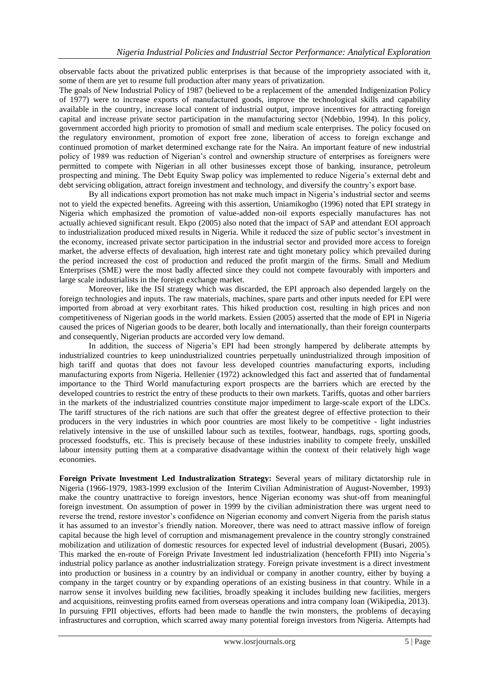observable facts about the privatized public enterprises is that because of the impropriety associated with it, some of them are yet to resume full production after many years of privatization.

The goals of New Industrial Policy of 1987 (believed to be a replacement of the amended Indigenization Policy of 1977) were to increase exports of manufactured goods, improve the technological skills and capability available in the country, increase local content of industrial output, improve incentives for attracting foreign capital and increase private sector participation in the manufacturing sector (Ndebbio, 1994). In this policy, government accorded high priority to promotion of small and medium scale enterprises. The policy focused on the regulatory environment, promotion of export free zone, liberation of access to foreign exchange and continued promotion of market determined exchange rate for the Naira. An important feature of new industrial policy of 1989 was reduction of Nigerian's control and ownership structure of enterprises as foreigners were permitted to compete with Nigerian in all other businesses except those of banking, insurance, petroleum prospecting and mining. The Debt Equity Swap policy was implemented to reduce Nigeria"s external debt and debt servicing obligation, attract foreign investment and technology, and diversify the country"s export base.

By all indications export promotion has not make much impact in Nigeria"s industrial sector and seems not to yield the expected benefits. Agreeing with this assertion, Uniamikogbo (1996) noted that EPI strategy in Nigeria which emphasized the promotion of value-added non-oil exports especially manufactures has not actually achieved significant result. Ekpo (2005) also noted that the impact of SAP and attendant EOI approach to industrialization produced mixed results in Nigeria. While it reduced the size of public sector's investment in the economy, increased private sector participation in the industrial sector and provided more access to foreign market, the adverse effects of devaluation, high interest rate and tight monetary policy which prevailed during the period increased the cost of production and reduced the profit margin of the firms. Small and Medium Enterprises (SME) were the most badly affected since they could not compete favourably with importers and large scale industrialists in the foreign exchange market.

Moreover, like the ISI strategy which was discarded, the EPI approach also depended largely on the foreign technologies and inputs. The raw materials, machines, spare parts and other inputs needed for EPI were imported from abroad at very exorbitant rates. This hiked production cost, resulting in high prices and non competitiveness of Nigerian goods in the world markets. Essien (2005) asserted that the mode of EPI in Nigeria caused the prices of Nigerian goods to be dearer, both locally and internationally, than their foreign counterparts and consequently, Nigerian products are accorded very low demand.

In addition, the success of Nigeria"s EPI had been strongly hampered by deliberate attempts by industrialized countries to keep unindustrialized countries perpetually unindustrialized through imposition of high tariff and quotas that does not favour less developed countries manufacturing exports, including manufacturing exports from Nigeria. Hellenier (1972) acknowledged this fact and asserted that of fundamental importance to the Third World manufacturing export prospects are the barriers which are erected by the developed countries to restrict the entry of these products to their own markets. Tariffs, quotas and other barriers in the markets of the industrialized countries constitute major impediment to large-scale export of the LDCs. The tariff structures of the rich nations are such that offer the greatest degree of effective protection to their producers in the very industries in which poor countries are most likely to be competitive - light industries relatively intensive in the use of unskilled labour such as textiles, footwear, handbags, rugs, sporting goods, processed foodstuffs, etc. This is precisely because of these industries inability to compete freely, unskilled labour intensity putting them at a comparative disadvantage within the context of their relatively high wage economies.

**Foreign Private lnvestment Led Industralization Strategy:** Several years of military dictatorship rule in Nigeria (1966-1979, 1983-1999 exclusion of the Interim Civilian Administration of August-November, 1993) make the country unattractive to foreign investors, hence Nigerian economy was shut-off from meaningful foreign investment. On assumption of power in 1999 by the civilian administration there was urgent need to reverse the trend, restore investor"s confidence on Nigerian economy and convert Nigeria from the parish status it has assumed to an investor"s friendly nation. Moreover, there was need to attract massive inflow of foreign capital because the high level of corruption and mismanagement prevalence in the country strongly constrained mobilization and utilization of domestic resources for expected level of industrial development (Busari, 2005). This marked the en-route of Foreign Private Investment led industrialization (henceforth FPII) into Nigeria"s industrial policy parlance as another industrialization strategy. Foreign private investment is a direct investment into production or business in a country by an individual or company in another country, either by buying a company in the target country or by expanding operations of an existing business in that country. While in a narrow sense it involves building new facilities, broadly speaking it includes building new facilities, mergers and acquisitions, reinvesting profits earned from overseas operations and intra company loan (Wikipedia, 2013). In pursuing FPII objectives, efforts had been made to handle the twin monsters, the problems of decaying infrastructures and corruption, which scarred away many potential foreign investors from Nigeria. Attempts had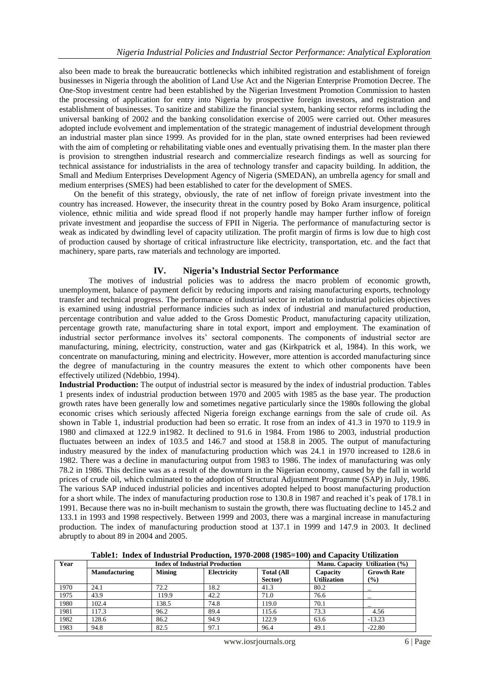also been made to break the bureaucratic bottlenecks which inhibited registration and establishment of foreign businesses in Nigeria through the abolition of Land Use Act and the Nigerian Enterprise Promotion Decree. The One-Stop investment centre had been established by the Nigerian Investment Promotion Commission to hasten the processing of application for entry into Nigeria by prospective foreign investors, and registration and establishment of businesses. To sanitize and stabilize the financial system, banking sector reforms including the universal banking of 2002 and the banking consolidation exercise of 2005 were carried out. Other measures adopted include evolvement and implementation of the strategic management of industrial development through an industrial master plan since 1999. As provided for in the plan, state owned enterprises had been reviewed with the aim of completing or rehabilitating viable ones and eventually privatising them. In the master plan there is provision to strengthen industrial research and commercialize research findings as well as sourcing for technical assistance for industrialists in the area of technology transfer and capacity building. In addition, the Small and Medium Enterprises Development Agency of Nigeria (SMEDAN), an umbrella agency for small and medium enterprises (SMES) had been established to cater for the development of SMES.

On the benefit of this strategy, obviously, the rate of net inflow of foreign private investment into the country has increased. However, the insecurity threat in the country posed by Boko Aram insurgence, political violence, ethnic militia and wide spread flood if not properly handle may hamper further inflow of foreign private investment and jeopardise the success of FPII in Nigeria. The performance of manufacturing sector is weak as indicated by dwindling level of capacity utilization. The profit margin of firms is low due to high cost of production caused by shortage of critical infrastructure like electricity, transportation, etc. and the fact that machinery, spare parts, raw materials and technology are imported.

### **IV. Nigeria's Industrial Sector Performance**

The motives of industrial policies was to address the macro problem of economic growth, unemployment, balance of payment deficit by reducing imports and raising manufacturing exports, technology transfer and technical progress. The performance of industrial sector in relation to industrial policies objectives is examined using industrial performance indicies such as index of industrial and manufactured production, percentage contribution and value added to the Gross Domestic Product, manufacturing capacity utilization, percentage growth rate, manufacturing share in total export, import and employment. The examination of industrial sector performance involves its' sectoral components. The components of industrial sector are manufacturing, mining, electricity, construction, water and gas (Kirkpatrick et al, 1984). In this work, we concentrate on manufacturing, mining and electricity. However, more attention is accorded manufacturing since the degree of manufacturing in the country measures the extent to which other components have been effectively utilized (Ndebbio, 1994).

**Industrial Production:** The output of industrial sector is measured by the index of industrial production. Tables 1 presents index of industrial production between 1970 and 2005 with 1985 as the base year. The production growth rates have been generally low and sometimes negative particularly since the 1980s following the global economic crises which seriously affected Nigeria foreign exchange earnings from the sale of crude oil. As shown in Table 1, industrial production had been so erratic. It rose from an index of 41.3 in 1970 to 119.9 in 1980 and climaxed at 122.9 in1982. It declined to 91.6 in 1984. From 1986 to 2003, industrial production fluctuates between an index of 103.5 and 146.7 and stood at 158.8 in 2005. The output of manufacturing industry measured by the index of manufacturing production which was 24.1 in 1970 increased to 128.6 in 1982. There was a decline in manufacturing output from 1983 to 1986. The index of manufacturing was only 78.2 in 1986. This decline was as a result of the downturn in the Nigerian economy, caused by the fall in world prices of crude oil, which culminated to the adoption of Structural Adjustment Programme (SAP) in July, 1986. The various SAP induced industrial policies and incentives adopted helped to boost manufacturing production for a short while. The index of manufacturing production rose to 130.8 in 1987 and reached it's peak of 178.1 in 1991. Because there was no in-built mechanism to sustain the growth, there was fluctuating decline to 145.2 and 133.1 in 1993 and 1998 respectively. Between 1999 and 2003, there was a marginal increase in manufacturing production. The index of manufacturing production stood at 137.1 in 1999 and 147.9 in 2003. It declined abruptly to about 89 in 2004 and 2005.

**Table1: Index of Industrial Production, 1970-2008 (1985=100) and Capacity Utilization**

| Year |                      | <b>Index of Industrial Production</b> | Manu. Capacity Utilization (%) |                   |                    |                              |
|------|----------------------|---------------------------------------|--------------------------------|-------------------|--------------------|------------------------------|
|      | <b>Manufacturing</b> | <b>Mining</b>                         | Electricity                    | <b>Total (All</b> | Capacity           | <b>Growth Rate</b>           |
|      |                      |                                       |                                | Sector)           | <b>Utilization</b> | $\left( \frac{9}{6} \right)$ |
| 1970 | 24.1                 | 72.2                                  | 18.2                           | 41.3              | 80.2               |                              |
| 1975 | 43.9                 | 119.9                                 | 42.2                           | 71.0              | 76.6               |                              |
| 1980 | 102.4                | 138.5                                 | 74.8                           | 119.0             | 70.1               |                              |
| 1981 | 117.3                | 96.2                                  | 89.4                           | 115.6             | 73.3               | 4.56                         |
| 1982 | 128.6                | 86.2                                  | 94.9                           | 122.9             | 63.6               | $-13.23$                     |
| 1983 | 94.8                 | 82.5                                  | 97.1                           | 96.4              | 49.1               | $-22.80$                     |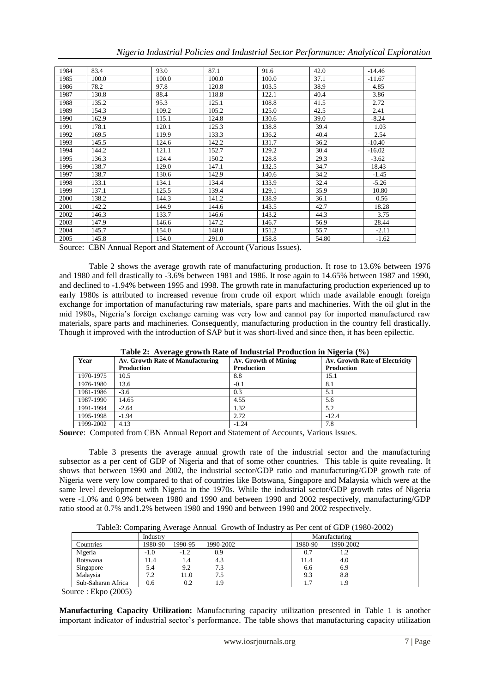|  |  |  | Nigeria Industrial Policies and Industrial Sector Performance: Analytical Exploration |  |
|--|--|--|---------------------------------------------------------------------------------------|--|
|  |  |  |                                                                                       |  |
|  |  |  |                                                                                       |  |
|  |  |  |                                                                                       |  |

| 1984 | 83.4  | 93.0  | 87.1  | 91.6  | 42.0  | $-14.46$ |
|------|-------|-------|-------|-------|-------|----------|
| 1985 | 100.0 | 100.0 | 100.0 | 100.0 | 37.1  | $-11.67$ |
| 1986 | 78.2  | 97.8  | 120.8 | 103.5 | 38.9  | 4.85     |
| 1987 | 130.8 | 88.4  | 118.8 | 122.1 | 40.4  | 3.86     |
| 1988 | 135.2 | 95.3  | 125.1 | 108.8 | 41.5  | 2.72     |
| 1989 | 154.3 | 109.2 | 105.2 | 125.0 | 42.5  | 2.41     |
| 1990 | 162.9 | 115.1 | 124.8 | 130.6 | 39.0  | $-8.24$  |
| 1991 | 178.1 | 120.1 | 125.3 | 138.8 | 39.4  | 1.03     |
| 1992 | 169.5 | 119.9 | 133.3 | 136.2 | 40.4  | 2.54     |
| 1993 | 145.5 | 124.6 | 142.2 | 131.7 | 36.2  | $-10.40$ |
| 1994 | 144.2 | 121.1 | 152.7 | 129.2 | 30.4  | $-16.02$ |
| 1995 | 136.3 | 124.4 | 150.2 | 128.8 | 29.3  | $-3.62$  |
| 1996 | 138.7 | 129.0 | 147.1 | 132.5 | 34.7  | 18.43    |
| 1997 | 138.7 | 130.6 | 142.9 | 140.6 | 34.2  | $-1.45$  |
| 1998 | 133.1 | 134.1 | 134.4 | 133.9 | 32.4  | $-5.26$  |
| 1999 | 137.1 | 125.5 | 139.4 | 129.1 | 35.9  | 10.80    |
| 2000 | 138.2 | 144.3 | 141.2 | 138.9 | 36.1  | 0.56     |
| 2001 | 142.2 | 144.9 | 144.6 | 143.5 | 42.7  | 18.28    |
| 2002 | 146.3 | 133.7 | 146.6 | 143.2 | 44.3  | 3.75     |
| 2003 | 147.9 | 146.6 | 147.2 | 146.7 | 56.9  | 28.44    |
| 2004 | 145.7 | 154.0 | 148.0 | 151.2 | 55.7  | $-2.11$  |
| 2005 | 145.8 | 154.0 | 291.0 | 158.8 | 54.80 | $-1.62$  |

Source: CBN Annual Report and Statement of Account (Various Issues).

Table 2 shows the average growth rate of manufacturing production. It rose to 13.6% between 1976 and 1980 and fell drastically to -3.6% between 1981 and 1986. It rose again to 14.65% between 1987 and 1990, and declined to -1.94% between 1995 and 1998. The growth rate in manufacturing production experienced up to early 1980s is attributed to increased revenue from crude oil export which made available enough foreign exchange for importation of manufacturing raw materials, spare parts and machineries. With the oil glut in the mid 1980s, Nigeria"s foreign exchange earning was very low and cannot pay for imported manufactured raw materials, spare parts and machineries. Consequently, manufacturing production in the country fell drastically. Though it improved with the introduction of SAP but it was short-lived and since then, it has been epilectic.

|           | Table 2. Average growth Kate of Industrial Production in Fugeria (70) |                      |                                |  |  |  |  |  |
|-----------|-----------------------------------------------------------------------|----------------------|--------------------------------|--|--|--|--|--|
| Year      | Av. Growth Rate of Manufacturing                                      | Av. Growth of Mining | Av. Growth Rate of Electricity |  |  |  |  |  |
|           | <b>Production</b>                                                     | <b>Production</b>    | <b>Production</b>              |  |  |  |  |  |
| 1970-1975 | 10.5                                                                  | 8.8                  | 15.1                           |  |  |  |  |  |
| 1976-1980 | 13.6                                                                  | $-0.1$               | 8.1                            |  |  |  |  |  |
| 1981-1986 | $-3.6$                                                                | 0.3                  | 5.1                            |  |  |  |  |  |
| 1987-1990 | 14.65                                                                 | 4.55                 | 5.6                            |  |  |  |  |  |
| 1991-1994 | $-2.64$                                                               | 1.32                 | 5.2                            |  |  |  |  |  |
| 1995-1998 | $-1.94$                                                               | 2.72                 | $-12.4$                        |  |  |  |  |  |
| 1999-2002 | 4.13                                                                  | $-1.24$              | 7.8                            |  |  |  |  |  |

**Table 2: Average growth Rate of Industrial Production in Nigeria (%)**

**Source**: Computed from CBN Annual Report and Statement of Accounts, Various Issues.

Table 3 presents the average annual growth rate of the industrial sector and the manufacturing subsector as a per cent of GDP of Nigeria and that of some other countries. This table is quite revealing. It shows that between 1990 and 2002, the industrial sector/GDP ratio and manufacturing/GDP growth rate of Nigeria were very low compared to that of countries like Botswana, Singapore and Malaysia which were at the same level development with Nigeria in the 1970s. While the industrial sector/GDP growth rates of Nigeria were -1.0% and 0.9% between 1980 and 1990 and between 1990 and 2002 respectively, manufacturing/GDP ratio stood at 0.7% and1.2% between 1980 and 1990 and between 1990 and 2002 respectively.

Table3: Comparing Average Annual Growth of Industry as Per cent of GDP (1980-2002)

|                    | Industry |         |           | Manufacturing        |
|--------------------|----------|---------|-----------|----------------------|
| Countries          | 1980-90  | 1990-95 | 1990-2002 | 1990-2002<br>1980-90 |
| Nigeria            | $-1.0$   | $-1.2$  | 0.9       | 0.7                  |
| Botswana           | l 1.4    | 1.4     | 4.3       | 11.4<br>4.0          |
| Singapore          | 5.4      | 9.2     | 7.3       | 6.9<br>6.6           |
| Malaysia           | 7.2      | 11.0    | 7.5       | 8.8<br>9.3           |
| Sub-Saharan Africa | 0.6      | 0.2     | 1.9       | 1.9                  |

Source : Ekpo (2005)

**Manufacturing Capacity Utilization:** Manufacturing capacity utilization presented in Table 1 is another important indicator of industrial sector"s performance. The table shows that manufacturing capacity utilization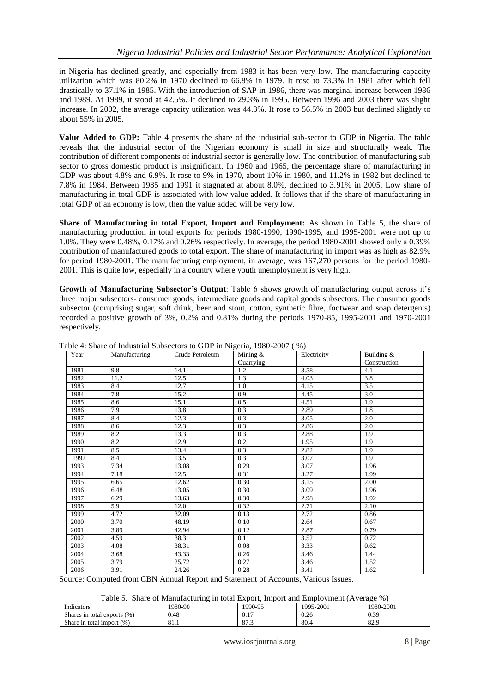in Nigeria has declined greatly, and especially from 1983 it has been very low. The manufacturing capacity utilization which was 80.2% in 1970 declined to 66.8% in 1979. It rose to 73.3% in 1981 after which fell drastically to 37.1% in 1985. With the introduction of SAP in 1986, there was marginal increase between 1986 and 1989. At 1989, it stood at 42.5%. It declined to 29.3% in 1995. Between 1996 and 2003 there was slight increase. In 2002, the average capacity utilization was 44.3%. It rose to 56.5% in 2003 but declined slightly to about 55% in 2005.

**Value Added to GDP:** Table 4 presents the share of the industrial sub-sector to GDP in Nigeria. The table reveals that the industrial sector of the Nigerian economy is small in size and structurally weak. The contribution of different components of industrial sector is generally low. The contribution of manufacturing sub sector to gross domestic product is insignificant. In 1960 and 1965, the percentage share of manufacturing in GDP was about 4.8% and 6.9%. It rose to 9% in 1970, about 10% in 1980, and 11.2% in 1982 but declined to 7.8% in 1984. Between 1985 and 1991 it stagnated at about 8.0%, declined to 3.91% in 2005. Low share of manufacturing in total GDP is associated with low value added. It follows that if the share of manufacturing in total GDP of an economy is low, then the value added will be very low.

**Share of Manufacturing in total Export, Import and Employment:** As shown in Table 5, the share of manufacturing production in total exports for periods 1980-1990, 1990-1995, and 1995-2001 were not up to 1.0%. They were 0.48%, 0.17% and 0.26% respectively. In average, the period 1980-2001 showed only a 0.39% contribution of manufactured goods to total export. The share of manufacturing in import was as high as 82.9% for period 1980-2001. The manufacturing employment, in average, was 167,270 persons for the period 1980- 2001. This is quite low, especially in a country where youth unemployment is very high.

**Growth of Manufacturing Subsector's Output**: Table 6 shows growth of manufacturing output across it"s three major subsectors- consumer goods, intermediate goods and capital goods subsectors. The consumer goods subsector (comprising sugar, soft drink, beer and stout, cotton, synthetic fibre, footwear and soap detergents) recorded a positive growth of 3%, 0.2% and 0.81% during the periods 1970-85, 1995-2001 and 1970-2001 respectively.

| Year | Manufacturing | Crude Petroleum | Mining &  | Electricity | Building &   |
|------|---------------|-----------------|-----------|-------------|--------------|
|      |               |                 | Quarrying |             | Construction |
| 1981 | 9.8           | 14.1            | 1.2       | 3.58        | 4.1          |
| 1982 | 11.2          | 12.5            | 1.3       | 4.03        | 3.8          |
| 1983 | 8.4           | 12.7            | 1.0       | 4.15        | 3.5          |
| 1984 | 7.8           | 15.2            | 0.9       | 4.45        | 3.0          |
| 1985 | 8.6           | 15.1            | 0.5       | 4.51        | 1.9          |
| 1986 | 7.9           | 13.8            | 0.3       | 2.89        | 1.8          |
| 1987 | 8.4           | 12.3            | 0.3       | 3.05        | 2.0          |
| 1988 | 8.6           | 12.3            | 0.3       | 2.86        | 2.0          |
| 1989 | 8.2           | 13.3            | 0.3       | 2.88        | 1.9          |
| 1990 | 8.2           | 12.9            | 0.2       | 1.95        | 1.9          |
| 1991 | 8.5           | 13.4            | 0.3       | 2.82        | 1.9          |
| 1992 | 8.4           | 13.5            | 0.3       | 3.07        | 1.9          |
| 1993 | 7.34          | 13.08           | 0.29      | 3.07        | 1.96         |
| 1994 | 7.18          | 12.5            | 0.31      | 3.27        | 1.99         |
| 1995 | 6.65          | 12.62           | 0.30      | 3.15        | 2.00         |
| 1996 | 6.48          | 13.05           | 0.30      | 3.09        | 1.96         |
| 1997 | 6.29          | 13.63           | 0.30      | 2.98        | 1.92         |
| 1998 | 5.9           | 12.0            | 0.32      | 2.71        | 2.10         |
| 1999 | 4.72          | 32.09           | 0.13      | 2.72        | 0.86         |
| 2000 | 3.70          | 48.19           | 0.10      | 2.64        | 0.67         |
| 2001 | 3.89          | 42.94           | 0.12      | 2.87        | 0.79         |
| 2002 | 4.59          | 38.31           | 0.11      | 3.52        | 0.72         |
| 2003 | 4.08          | 38.31           | 0.08      | 3.33        | 0.62         |
| 2004 | 3.68          | 43.33           | 0.26      | 3.46        | 1.44         |
| 2005 | 3.79          | 25.72           | 0.27      | 3.46        | 1.52         |
| 2006 | 3.91          | 24.26           | 0.28      | 3.41        | 1.62         |

Table 4: Share of Industrial Subsectors to GDP in Nigeria, 1980-2007 ( %)

Source: Computed from CBN Annual Report and Statement of Accounts, Various Issues.

Table 5. Share of Manufacturing in total Export, Import and Employment (Average %)

| $\cdots$<br>Indicators                 | 1980-90 | 1990-95               | 5-2001<br>1995 | 1980-2001                 |
|----------------------------------------|---------|-----------------------|----------------|---------------------------|
| Shares in total exports<br>(96)        | 0.48    | 1 <sub>7</sub><br>V.I | 0.26           | $\Omega$<br>$0.3^{\circ}$ |
| Share in total import<br>$(%^{0})^{2}$ | 81.1    | $\Omega$<br>$\circ$   | 80.4           | 82.9                      |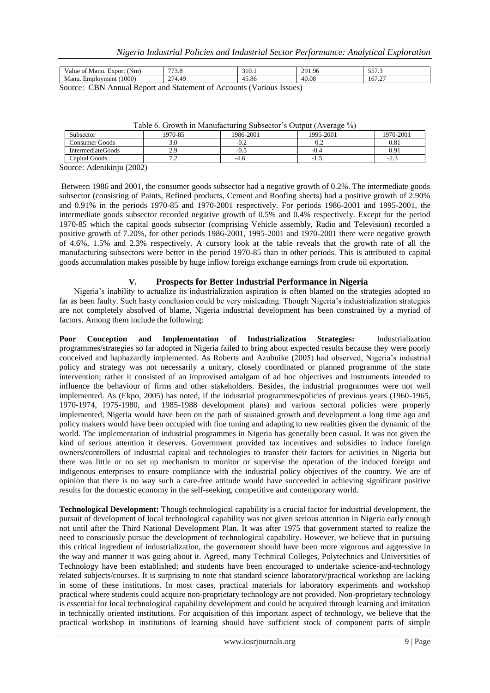| (Nm)<br>Manu.<br>Export<br>/alue<br>ОI                                                        | $\overline{\phantom{a}}$<br>ن ر | 310.1      | 291.96                      | $- - -$<br><u>JJI.J</u>          |  |  |
|-----------------------------------------------------------------------------------------------|---------------------------------|------------|-----------------------------|----------------------------------|--|--|
| (1000)<br>Manu.<br>Employment                                                                 | 274.49                          | -<br>45.80 | $\Lambda$ $\Omega$<br>40.08 | $\sim$ $\sim$<br>$101.2^{\circ}$ |  |  |
| $\sim$<br>$\sim$ n<br>Against Dependent of Claims and of Againsts (Vanisses Lesses)<br>.<br>. |                                 |            |                             |                                  |  |  |

Source: CBN Annual Report and Statement of Accounts (Various Issues)

| Subsector                    | 1970-85             | 1986-2001 | 1995-2001 | 1970-2001 |  |  |  |
|------------------------------|---------------------|-----------|-----------|-----------|--|--|--|
| Consumer Goods               | 3.0                 | $-0.2$    | ∪.∠       | 0.81      |  |  |  |
| IntermediateGoods            | າ ເ<br><u>، ، ،</u> | -0.5      | -0.4      | 0.91      |  |  |  |
| Capital Goods                | .                   | -4.t      | -1.0      | -4.5      |  |  |  |
| $l$ ourgo: Adonibiniu (2002) |                     |           |           |           |  |  |  |

Table 6. Growth in Manufacturing Subsector's Output (Average %)

Source: Adenikinju (2002)

Between 1986 and 2001, the consumer goods subsector had a negative growth of 0.2%. The intermediate goods subsector (consisting of Paints, Refined products, Cement and Roofing sheets) had a positive growth of 2.90% and 0.91% in the periods 1970-85 and 1970-2001 respectively. For periods 1986-2001 and 1995-2001, the intermediate goods subsector recorded negative growth of 0.5% and 0.4% respectively. Except for the period 1970-85 which the capital goods subsector (comprising Vehicle assembly, Radio and Television) recorded a positive growth of 7.20%, for other periods 1986-2001, 1995-2001 and 1970-2001 there were negative growth of 4.6%, 1.5% and 2.3% respectively. A cursory look at the table reveals that the growth rate of all the manufacturing subsectors were better in the period 1970-85 than in other periods. This is attributed to capital goods accumulation makes possible by huge inflow foreign exchange earnings from crude oil exportation.

## **V. Prospects for Better Industrial Performance in Nigeria**

Nigeria"s inability to actualize its industrialization aspiration is often blamed on the strategies adopted so far as been faulty. Such hasty conclusion could be very misleading. Though Nigeria"s industrialization strategies are not completely absolved of blame, Nigeria industrial development has been constrained by a myriad of factors. Among them include the following:

**Poor Conception and Implementation of Industrialization Strategies:** Industrialization programmes/strategies so far adopted in Nigeria failed to bring about expected results because they were poorly conceived and haphazardly implemented. As Roberts and Azubuike (2005) had observed, Nigeria"s industrial policy and strategy was not necessarily a unitary, closely coordinated or planned programme of the state intervention; rather it consisted of an improvised amalgam of ad hoc objectives and instruments intended to influence the behaviour of firms and other stakeholders. Besides, the industrial programmes were not well implemented. As (Ekpo, 2005) has noted, if the industrial programmes/policies of previous years (1960-1965, 1970-1974, 1975-1980, and 1985-1988 development plans) and various sectoral policies were properly implemented, Nigeria would have been on the path of sustained growth and development a long time ago and policy makers would have been occupied with fine tuning and adapting to new realities given the dynamic of the world. The implementation of industrial programmes in Nigeria has generally been casual. It was not given the kind of serious attention it deserves. Government provided tax incentives and subsidies to induce foreign owners/controllers of industrial capital and technologies to transfer their factors for activities in Nigeria but there was little or no set up mechanism to monitor or supervise the operation of the induced foreign and indigenous enterprises to ensure compliance with the industrial policy objectives of the country. We are of opinion that there is no way such a care-free attitude would have succeeded in achieving significant positive results for the domestic economy in the self-seeking, competitive and contemporary world.

**Technological Development:** Though technological capability is a crucial factor for industrial development, the pursuit of development of local technological capability was not given serious attention in Nigeria early enough not until after the Third National Development Plan. It was after 1975 that government started to realize the need to consciously pursue the development of technological capability. However, we believe that in pursuing this critical ingredient of industrialization, the government should have been more vigorous and aggressive in the way and manner it was going about it. Agreed, many Technical Colleges, Polytechnics and Universities of Technology have been established; and students have been encouraged to undertake science-and-technology related subjects/courses. It is surprising to note that standard science laboratory/practical workshop are lacking in some of these institutions. In most cases, practical materials for laboratory experiments and workshop practical where students could acquire non-proprietary technology are not provided. Non-proprietary technology is essential for local technological capability development and could be acquired through learning and imitation in technically oriented institutions. For acquisition of this important aspect of technology, we believe that the practical workshop in institutions of learning should have sufficient stock of component parts of simple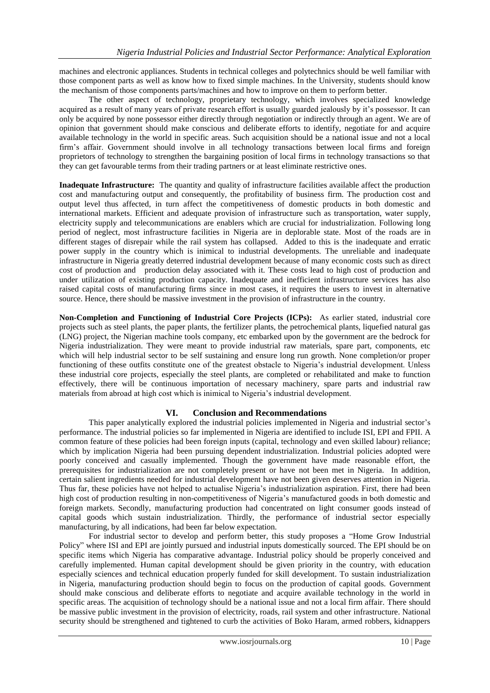machines and electronic appliances. Students in technical colleges and polytechnics should be well familiar with those component parts as well as know how to fixed simple machines. In the University, students should know the mechanism of those components parts/machines and how to improve on them to perform better.

The other aspect of technology, proprietary technology, which involves specialized knowledge acquired as a result of many years of private research effort is usually guarded jealously by it's possessor. It can only be acquired by none possessor either directly through negotiation or indirectly through an agent. We are of opinion that government should make conscious and deliberate efforts to identify, negotiate for and acquire available technology in the world in specific areas. Such acquisition should be a national issue and not a local firm"s affair. Government should involve in all technology transactions between local firms and foreign proprietors of technology to strengthen the bargaining position of local firms in technology transactions so that they can get favourable terms from their trading partners or at least eliminate restrictive ones.

**Inadequate Infrastructure:** The quantity and quality of infrastructure facilities available affect the production cost and manufacturing output and consequently, the profitability of business firm. The production cost and output level thus affected, in turn affect the competitiveness of domestic products in both domestic and international markets. Efficient and adequate provision of infrastructure such as transportation, water supply, electricity supply and telecommunications are enablers which are crucial for industrialization. Following long period of neglect, most infrastructure facilities in Nigeria are in deplorable state. Most of the roads are in different stages of disrepair while the rail system has collapsed. Added to this is the inadequate and erratic power supply in the country which is inimical to industrial developments. The unreliable and inadequate infrastructure in Nigeria greatly deterred industrial development because of many economic costs such as direct cost of production and production delay associated with it. These costs lead to high cost of production and under utilization of existing production capacity. Inadequate and inefficient infrastructure services has also raised capital costs of manufacturing firms since in most cases, it requires the users to invest in alternative source. Hence, there should be massive investment in the provision of infrastructure in the country.

**Non-Completion and Functioning of Industrial Core Projects (ICPs):** As earlier stated, industrial core projects such as steel plants, the paper plants, the fertilizer plants, the petrochemical plants, liquefied natural gas (LNG) project, the Nigerian machine tools company, etc embarked upon by the government are the bedrock for Nigeria industrialization. They were meant to provide industrial raw materials, spare part, components, etc which will help industrial sector to be self sustaining and ensure long run growth. None completion/or proper functioning of these outfits constitute one of the greatest obstacle to Nigeria's industrial development. Unless these industrial core projects, especially the steel plants, are completed or rehabilitated and make to function effectively, there will be continuous importation of necessary machinery, spare parts and industrial raw materials from abroad at high cost which is inimical to Nigeria"s industrial development.

## **VI. Conclusion and Recommendations**

This paper analytically explored the industrial policies implemented in Nigeria and industrial sector"s performance. The industrial policies so far implemented in Nigeria are identified to include ISI, EPI and FPII. A common feature of these policies had been foreign inputs (capital, technology and even skilled labour) reliance; which by implication Nigeria had been pursuing dependent industrialization. Industrial policies adopted were poorly conceived and casually implemented. Though the government have made reasonable effort, the prerequisites for industrialization are not completely present or have not been met in Nigeria. In addition, certain salient ingredients needed for industrial development have not been given deserves attention in Nigeria. Thus far, these policies have not helped to actualise Nigeria"s industrialization aspiration. First, there had been high cost of production resulting in non-competitiveness of Nigeria's manufactured goods in both domestic and foreign markets. Secondly, manufacturing production had concentrated on light consumer goods instead of capital goods which sustain industrialization. Thirdly, the performance of industrial sector especially manufacturing, by all indications, had been far below expectation.

For industrial sector to develop and perform better, this study proposes a "Home Grow Industrial Policy" where ISI and EPI are jointly pursued and industrial inputs domestically sourced. The EPI should be on specific items which Nigeria has comparative advantage. Industrial policy should be properly conceived and carefully implemented. Human capital development should be given priority in the country, with education especially sciences and technical education properly funded for skill development. To sustain industrialization in Nigeria, manufacturing production should begin to focus on the production of capital goods. Government should make conscious and deliberate efforts to negotiate and acquire available technology in the world in specific areas. The acquisition of technology should be a national issue and not a local firm affair. There should be massive public investment in the provision of electricity, roads, rail system and other infrastructure. National security should be strengthened and tightened to curb the activities of Boko Haram, armed robbers, kidnappers